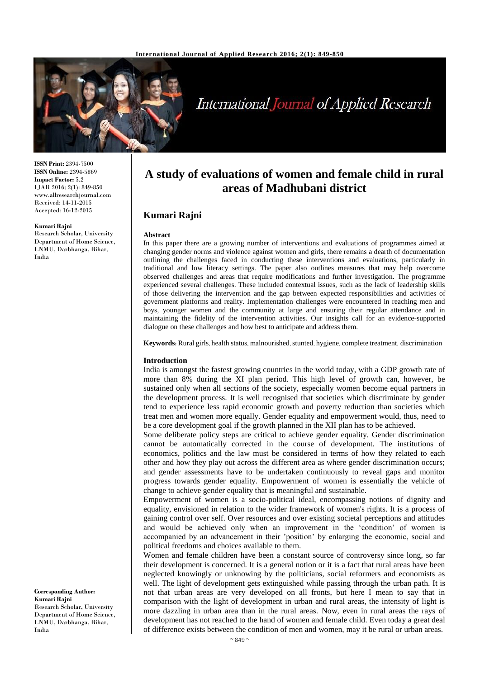

# **International Journal of Applied Research**

**ISSN Print:** 2394-7500 **ISSN Online:** 2394-5869 **Impact Factor:** 5.2 IJAR 2016; 2(1): 849-850 www.allresearchjournal.com Received: 14-11-2015 Accepted: 16-12-2015

#### **Kumari Rajni**

Research Scholar, University Department of Home Science, LNMU, Darbhanga, Bihar, India

## **A study of evaluations of women and female child in rural areas of Madhubani district**

### **Kumari Rajni**

#### **Abstract**

In this paper there are a growing number of interventions and evaluations of programmes aimed at changing gender norms and violence against women and girls, there remains a dearth of documentation outlining the challenges faced in conducting these interventions and evaluations, particularly in traditional and low literacy settings. The paper also outlines measures that may help overcome observed challenges and areas that require modifications and further investigation. The programme experienced several challenges. These included contextual issues, such as the lack of leadership skills of those delivering the intervention and the gap between expected responsibilities and activities of government platforms and reality. Implementation challenges were encountered in reaching men and boys, younger women and the community at large and ensuring their regular attendance and in maintaining the fidelity of the intervention activities. Our insights call for an evidence-supported dialogue on these challenges and how best to anticipate and address them.

Keywords: Rural girls, health status, malnourished, stunted, hygiene, complete treatment, discrimination

#### **Introduction**

India is amongst the fastest growing countries in the world today, with a GDP growth rate of more than 8% during the XI plan period. This high level of growth can, however, be sustained only when all sections of the society, especially women become equal partners in the development process. It is well recognised that societies which discriminate by gender tend to experience less rapid economic growth and poverty reduction than societies which treat men and women more equally. Gender equality and empowerment would, thus, need to be a core development goal if the growth planned in the XII plan has to be achieved.

Some deliberate policy steps are critical to achieve gender equality. Gender discrimination cannot be automatically corrected in the course of development. The institutions of economics, politics and the law must be considered in terms of how they related to each other and how they play out across the different area as where gender discrimination occurs; and gender assessments have to be undertaken continuously to reveal gaps and monitor progress towards gender equality. Empowerment of women is essentially the vehicle of change to achieve gender equality that is meaningful and sustainable.

Empowerment of women is a socio-political ideal, encompassing notions of dignity and equality, envisioned in relation to the wider framework of women's rights. It is a process of gaining control over self. Over resources and over existing societal perceptions and attitudes and would be achieved only when an improvement in the 'condition' of women is accompanied by an advancement in their 'position' by enlarging the economic, social and political freedoms and choices available to them.

Women and female children have been a constant source of controversy since long, so far their development is concerned. It is a general notion or it is a fact that rural areas have been neglected knowingly or unknowing by the politicians, social reformers and economists as well. The light of development gets extinguished while passing through the urban path. It is not that urban areas are very developed on all fronts, but here I mean to say that in comparison with the light of development in urban and rural areas, the intensity of light is more dazzling in urban area than in the rural areas. Now, even in rural areas the rays of development has not reached to the hand of women and female child. Even today a great deal of difference exists between the condition of men and women, may it be rural or urban areas.

#### **Corresponding Author: Kumari Rajni** Research Scholar, University

Department of Home Science, LNMU, Darbhanga, Bihar, India